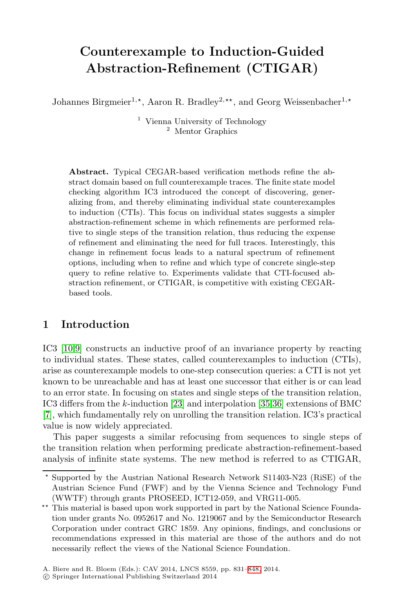# **Counterexample to Induction-Guided Abstraction-Refinement (CTIGAR)**

Johannes Birgmeier<sup>1,\*</sup>, Aaron R. Bradley<sup>2,\*\*</sup>, and Georg Weissenbacher<sup>1,\*</sup>

<sup>1</sup> Vienna University of Technology <sup>2</sup> Mentor Graphics

**Abstract.** Typical CEGAR-based verification methods refine the abstract domain based on full counterexample traces. The finite state model checking algorithm IC3 introduced the concept of discovering, generalizing from, and thereby eliminating individual state counterexamples to induction (CTIs). This focus on individual states suggests a simpler abstraction-refinement scheme in which refinements are performed relative to single steps of the transition relation, thus reducing the expense of refinement and eliminating the need for full traces. Interestingly, this change in refinement focus leads to a natural spectrum of refinement options, including when to refine and which type of concrete single-step query to refine relative to. Experiments validate that CTI-focused abstraction refinement, or CTIGAR, is competitive with existing CEGARbased tools.

# **1 Introd[uct](#page-16-0)ion**

IC3 [10,9] constructs an inductive proof of an invariance property by reacting to individual states. These states, called counterexamples to induction (CTIs), arise as counterexample models to one-step consecution queries: a CTI is not yet known to be unreachable and has at least one successor that either is or can lead to an error state. In focusing on states and single steps of the transition relation, IC3 differs from the k-induction [23] and interpolation [35,36] extensions of BMC [7], which fundamentally rely on unrolling the transition relation. IC3's practical value is now widely appreciated.

This paper suggests a similar refocusing from sequences to single steps of the transition relation when performing predicate abstraction-refinement-based analysis of infinite state systems. The new method is referred to as CTIGAR,

<sup>-</sup> Supported by the Austrian National Research Network S11403-N23 (RiSE) of the Austrian Science Fund (FWF) [and](#page-17-0) by the Vienna Science and Technology Fund (WWTF) through grants PROSEED, ICT12-059, and VRG11-005.

<sup>\*\*</sup> This material is based upon work supported in part by the National Science Foundation under grants No. 0952617 and No. 1219067 and by the Semiconductor Research Corporation under contract GRC 1859. Any opinions, findings, and conclusions or recommendations expressed in this material are those of the authors and do not necessarily reflect the views of the National Science Foundation.

A. Biere and R. Bloem (Eds.): CAV 2014, LNCS 8559, pp. 831–848, 2014.

<sup>-</sup>c Springer International Publishing Switzerland 2014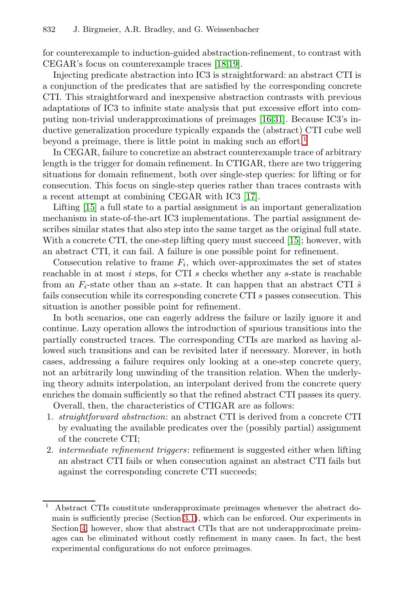for counterexample to induction-guided abstra[ct](#page-1-0)ion-refinement, to contrast with CEGAR's focus on counterexample traces [18,19].

Injecting predicate abstraction into IC3 is straightforward: an abstract CTI is a conjunction of the predicates that are satisfied by the corresponding concrete CTI. This straightforward and inexpensive abstraction contrasts with previous adaptations of IC3 to infinite st[ate](#page-15-1) analysis that put excessive effort into computing non-trivial underapproximations of preimages [16,31]. Because IC3's inductive generalization procedure typically expands the (abstract) CTI cube well beyond a preimage, there is little point in making such an effort.<sup>1</sup>

In CEGAR, failure to concretize an abstr[act](#page-15-2) counterexample trace of arbitrary length is the trigger for domain refinement. In CTIGAR, there are two triggering situations for domain refinement, both over single-step queries: for lifting or for consecution. This focus on single-step queries rather than traces contrasts with a recent attempt at combining CEGAR with IC3 [17].

Lifting [15] a full state to a partial assignment is an important generalization mechanism in state-of-the-art IC3 implementations. The partial assignment describes similar states that also step into the same target as the original full state. With a concrete CTI, the one-step lifting query must succeed [15]; however, with an abstract CTI, it can fail. A failure is one possible point for refinement.

Consecution relative to frame  $F_i$ , which over-approximates the set of states reachable in at most  $i$  steps, for CTI  $s$  checks whether any  $s$ -state is reachable from an  $F_i$ -state other than an s-state. It can happen that an abstract CTI  $\hat{s}$ fails consecution while its corresponding concrete CTI s passes consecution. This situation is another possible point for refinement.

<span id="page-1-0"></span>In both scenarios, one can eagerly address the failure or lazily ignore it and continue. Lazy operation allows the introduction of spurious transitions into the partially constructed traces. The corresponding CTIs are marked as having allowed such transitions and can be revisited later if necessary. Morever, in both cases, addressing a failure requires only looking at a one-step concrete query, not an arbitrarily long unwinding of the transition relation. When the underlying theory admits interpolation, an interpolant derived from the concrete query enriches the domain sufficiently so that the refined abstract CTI passes its query.

Overall, then, the characteristics of CTIGAR are as follows:

- 1. *straightforward abstraction*: an abstract CTI is derived from a concrete CTI by evaluating the available predicates over the (possibly partial) assignment of the concre[te](#page-4-0) [C](#page-4-0)TI;
- 2. *intermediate refinement triggers*: refinement is suggested either when lifting an abstract CTI fails or when consecution against an abstract CTI fails but against the corresponding concrete CTI succeeds;

<sup>1</sup> Abstract CTIs constitute underapproximate preimages whenever the abstract domain is sufficiently precise (Section 3.1), which can be enforced. Our experiments in Section 4, however, show that abstract CTIs that are not underapproximate preimages can be eliminated without costly refinement in many cases. In fact, the best experimental configurations do not enforce preimages.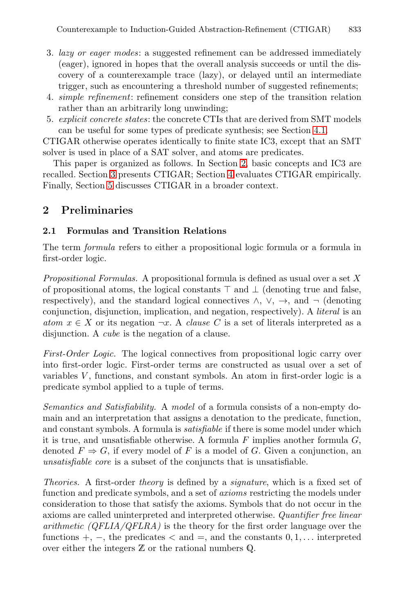- <span id="page-2-0"></span>3. *lazy or eager modes*: a suggested refinement [can](#page-10-0) be addressed immediately (eager), ignored in hopes that the overall analysis succeeds or until the discovery of a counterexampl[e t](#page-2-0)race (lazy), or delayed until an intermediate trigger, such as encount[eri](#page-9-0)ng a threshold number of suggested refinements;
- 4. *simple refinement*: refinement considers one step of the transition relation rather than an arbitrarily long unwinding;
- 5. *explicit concrete states*: the concrete CTIs that are derived from SMT models can be useful for some types of predicate synthesis; see Section 4.1.

CTIGAR otherwise operates identically to finite state IC3, except that an SMT solver is used in place of a SAT solver, and atoms are predicates.

This paper is organized as follows. In Section 2, basic concepts and IC3 are recalled. Section 3 presents CTIGAR; Section 4 evaluates CTIGAR empirically. Finally, Section 5 discusses CTIGAR in a broader context.

### **2 Preliminaries**

### **2.1 Formulas and Transition Relations**

The term *formula* refers to either a propositional logic formula or a formula in first-order logic.

*Propositional Formulas.* A propositional formula is defined as usual over a set X of propositional atoms, the logical constants  $\top$  and  $\bot$  (denoting true and false, respectively), and the standard logical connectives  $\land$ ,  $\lor$ ,  $\rightarrow$ , and  $\neg$  (denoting conjunction, disjunction, implication, and negation, respectively). A *literal* is an *atom*  $x \in X$  or its negation  $\neg x$ . A *clause* C is a set of literals interpreted as a disjunction. A *cube* is the negation of a clause.

*First-Order Logic.* The logical connectives from propositional logic carry over into first-order logic. First-order terms are constructed as usual over a set of variables  $V$ , functions, and constant symbols. An atom in first-order logic is a predicate symbol applied to a tuple of terms.

*Semantics and Satisfiability.* A *model* of a formula consists of a non-empty domain and an interpretation that assigns a denotation to the predicate, function, and constant symbols. A formula is *satisfiable* if there is some model under which it is true, and unsatisfiable otherwise. A formula  $F$  implies another formula  $G$ , denoted  $F \Rightarrow G$ , if every model of F is a model of G. Given a conjunction, an *unsatisfiable core* is a subset of the conjuncts that is unsatisfiable.

*Theories.* A first-order *theory* is defined by a *signature*, which is a fixed set of function and predicate symbols, and a set of *axioms* restricting the models under consideration to those that satisfy the axioms. Symbols that do not occur in the axioms are called uninterpreted and interpreted otherwise. *Quantifier free linear arithmetic (QFLIA/QFLRA)* is the theory for the first order language over the functions  $+$ ,  $-$ , the predicates  $\lt$  and  $=$ , and the constants  $0, 1, \ldots$  interpreted over either the integers  $\mathbb Z$  or the rational numbers  $\mathbb Q$ .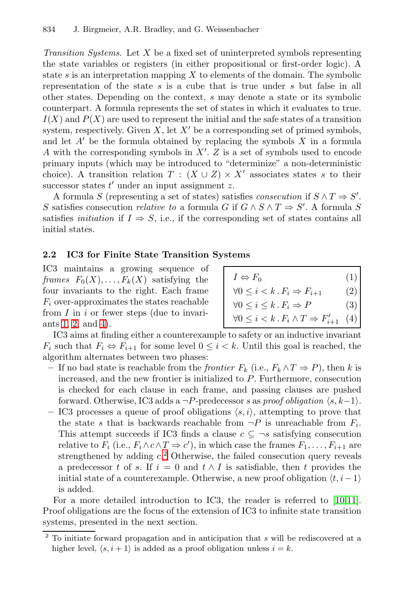<span id="page-3-1"></span>*Transition Systems.* Let X be a fixed set of uninterpreted symbols representing the state variables or registers (in either propositional or first-order logic). A state s is an interpretation mapping  $X$  to elements of the domain. The symbolic representation of the state s is a cube that is true under s but false in all other states. Depending on the context, s may denote a state or its symbolic counterpart. A formula represents the set of states in which it evaluates to true.  $I(X)$  and  $P(X)$  are used to represent the initial and the safe states of a transition system, respectively. Given X, let  $X'$  be a corresponding set of primed symbols, and let  $A'$  be the formula obtained by replacing the symbols  $X$  in a formula A with the corresponding symbols in X . Z is a set of symbols used to encode primary inputs (which may be introduced to "determinize" a non-deterministic choice). A transition relation  $T : (X \cup Z) \times X'$  associates states s to their successor states  $t'$  under an input assignment  $z$ .

A formula S (representing a set of states) satisfies *consecution* if  $S \wedge T \Rightarrow S'$ . S satisfies consecution *relative to* a formula G if  $G \wedge S \wedge T \Rightarrow S'$ . A formula S satisfies *initiation* if  $I \Rightarrow S$ , i.e., if the corresponding set of states contains all initial states.

# **2.2 IC3 for Finite State Transition Systems**

IC3 maintains a growing sequence of *frames*  $F_0(X), \ldots, F_k(X)$  satisfying the four invariants to the right. Each frame  $F_i$  over-approximates the states reachable from  $I$  in  $i$  or fewer steps (due to invariants 1, 2, and 4).

| $I \Leftrightarrow F_0$                                         | (1) |
|-----------------------------------------------------------------|-----|
| $\forall 0 \leq i \leq k$ . $F_i \Rightarrow F_{i+1}$           | (2) |
| $\forall 0 \leq i \leq k \cdot F_i \Rightarrow P$               | (3) |
| $\forall 0 \leq i \leq k$ . $F_i \wedge T \Rightarrow F'_{i+1}$ | (4) |

IC3 aims at finding either a counterexample to safety or an inductive invariant  $F_i$  such that  $F_i \Leftrightarrow F_{i+1}$  for some level  $0 \leq i \leq k$ . Until this goal is reached, the algorithm alternates between two phases:

- <span id="page-3-0"></span>**–** If no ba[d](#page-3-0) state is reachable from the *frontier* F<sup>k</sup> (i.e., F<sup>k</sup> ∧T ⇒ P), then k is increased, and the new frontier is initialized to P. Furthermore, consecution is checked for each clause in each frame, and passing clauses are pushed forward. Otherwise, IC3 adds a  $\neg P$ -predecessor s as *proof obligation*  $\langle s, k-1 \rangle$ .
- $-$  IC3 processes a queue of proof obligations  $\langle s, i \rangle$ , [atte](#page-15-3)[mp](#page-15-4)ting to prove that the state s that is backwards reachable from  $\neg P$  is unreachable from  $F_i$ . This attempt succeeds if IC3 finds a clause  $c \subseteq \neg s$  satisfying consecution relative to  $F_i$  (i.e.,  $F_i \wedge c \wedge T \Rightarrow c'$ ), in which case the frames  $F_1, \ldots, F_{i+1}$  are strengthened by adding  $c<sup>2</sup>$  Otherwise, the failed consecution query reveals a predecessor t of s. If  $i = 0$  and  $t \wedge I$  is satisfiable, then t provides the initial state of a counterexample. Otherwise, a new proof obligation  $\langle t, i-1 \rangle$ is added.

For a more detailed introduction to IC3, the reader is referred to [10,11]. Proof obligations are the focus of the extension of IC3 to infinite state transition systems, presented in the next section.

<sup>2</sup> To initiate forward propagation and in anticipation that *s* will be rediscovered at a higher level,  $\langle s, i+1 \rangle$  is added as a proof obligation unless  $i = k$ .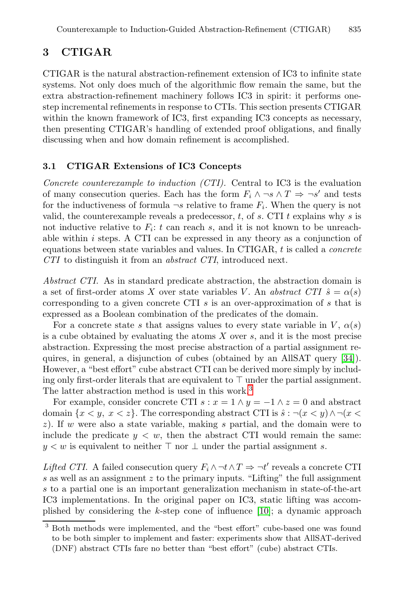# <span id="page-4-0"></span>**3 CTIGAR**

CTIGAR is the natural abstraction-refinement extension of IC3 to infinite state systems. Not only does much of the algorithmic flow remain the same, but the extra abstraction-refinement machinery follows IC3 in spirit: it performs onestep incremental refinements in response to CTIs. This section presents CTIGAR within the known framework of IC3, first expanding IC3 concepts as necessary, then presenting CTIGAR's handling of extended proof obligations, and finally discussing when and how domain refinement is accomplished.

#### **3.1 CTIGAR Extensions of IC3 Concepts**

*Concrete counterexample to induction (CTI).* Central to IC3 is the evaluation of many consecution queries. Each has the form  $F_i \wedge \neg s \wedge T \Rightarrow \neg s'$  and tests for the inductiveness of formula  $\neg s$  relative to frame  $F_i$ . When the query is not valid, the counterexample reveals a predecessor,  $t$ , of  $s$ . CTI  $t$  explains why  $s$  is not inductive relative to  $F_i$ : t can reach s, and it is not known to be unreachable within  $i$  steps. A CTI can be expressed in any theory as a conjunction of equations between state variables and values. In CTIGAR, t is called a *concrete CTI* to distinguish it from an *abstract CTI*, introduced next.

*Abstract CTI.* As in standard predicate abstraction, the [ab](#page-16-2)straction domain is a set of first-order atoms X over state variables V. An *abstract CTI*  $\hat{s} = \alpha(s)$ corresponding to a given concret[e](#page-4-1) CTI s is an over-approximation of s that is expressed as a Boolean combination of the predicates of the domain.

For a concrete state s that assigns values to every state variable in V,  $\alpha(s)$ is a cube obtained by evaluating the atoms  $X$  over  $s$ , and it is the most precise abstraction. Expressing the most precise abstraction of a partial assignment requires, in general, a disjunction of cubes (obtained by an AllSAT query [34]). However, a "best effort" cube abstract CTI can be derived more simply by including only first-order literals that are equivalent to  $\top$  under the partial assignment. The latter abstraction method is used in this work.<sup>3</sup>

<span id="page-4-1"></span>For example, consider concrete CTI  $s : x = 1 \land y = -1 \land z = 0$  and abstract domain  $\{x \leq y, x \leq z\}$ . The corresponding abstract CTI is  $\hat{s} : \neg(x \leq y) \land \neg(x \leq y)$ z). If w were also a state variable, [ma](#page-15-3)king s partial, and the domain were to include the predicate  $y < w$ , then the abstract CTI would remain the same:  $y < w$  is equivalent to neither  $\top$  nor  $\bot$  under the partial assignment s.

*Lifted CTI.* A failed consecution query  $F_i \wedge \neg t \wedge T \Rightarrow \neg t'$  reveals a concrete CTI s as well as an assignment  $z$  to the primary inputs. "Lifting" the full assignment s to a partial one is an important generalization mechanism in state-of-the-art IC3 implementations. In the original paper on IC3, static lifting was accomplished by considering the k-step cone of influence  $[10]$ ; a dynamic approach

<sup>3</sup> Both methods were implemented, and the "best effort" cube-based one was found to be both simpler to implement and faster: experiments show that AllSAT-derived (DNF) abstract CTIs fare no better than "best effort" (cube) abstract CTIs.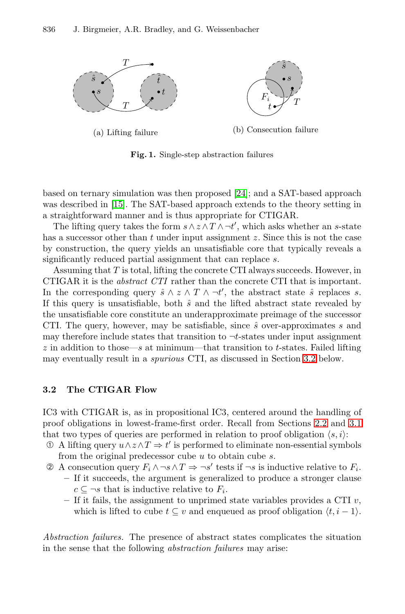<span id="page-5-2"></span><span id="page-5-1"></span>

(a) Lifting failure

(b) Consecution failure

**Fig. 1.** Single-step abstraction failures

based on ternary simulation was then proposed [24]; and a SAT-based approach was described in [15]. The SAT-based approach extends to the theory setting in a straightforward manner and is thus appropriate for CTIGAR.

<span id="page-5-0"></span>The lifting query takes the form  $s \wedge z \wedge T \wedge \neg t'$ , which asks whether an s-state has a successor other than  $t$  under input assignment  $z$ . Since this is not the case by construction, the query yields an unsatisfiable core that typically reveals a significantly reduced partial assignment that can replace s.

Assuming that  $T$  is total, lifting the concrete [CTI](#page-5-0) always succeeds. However, in CTIGAR it is the *abstract CTI* rather than the concrete CTI that is important. In the corresponding query  $\hat{s} \wedge z \wedge T \wedge \neg t'$ , the abstract state  $\hat{s}$  replaces s. If this query is unsatisfiable, both  $\hat{s}$  and the lifted abstract state revealed by the unsatisfiable core constitute an underapproximate preimage of the successor CTI. The query, however, may be satisfiable, since  $\hat{s}$  over-approximates s and may therefore include [stat](#page-3-1)es that transition to  $\neg t$ -states u[nder](#page-4-0) input assignment  $z$  in addition to those—s at minimum—that transition to t-states. Failed lifting may eventually result in a *spurious* CTI, as discussed in Section 3.2 below.

# **3.2 The CTIGAR Flow**

IC3 with CTIGAR is, as in propositional IC3, centered around the handling of proof obligations in lowest-frame-first order. Recall from Sections 2.2 and 3.1 that two types of queries are performed in relation to proof obligation  $\langle s, i \rangle$ :

- ① A lifting query  $u \wedge z \wedge T$  ⇒  $t'$  is performed to eliminate non-essential symbols from the original predecessor cube  $u$  to obtain cube  $s$ .
- ② A consecution query  $F_i \wedge \neg s \wedge T \Rightarrow \neg s'$  tests if  $\neg s$  is inductive relative to  $F_i$ . **–** If it succeeds, the argument is generalized to produce a stronger clause  $c \subseteq \neg s$  that is inductive relative to  $F_i$ .
	- **–** If it fails, the assignment to unprimed state variables provides a CTI v, which is lifted to cube  $t \subseteq v$  and enqueued as proof obligation  $\langle t, i-1 \rangle$ .

*Abstraction failures.* The presence of abstract states complicates the situation in the sense that the following *abstraction failures* may arise: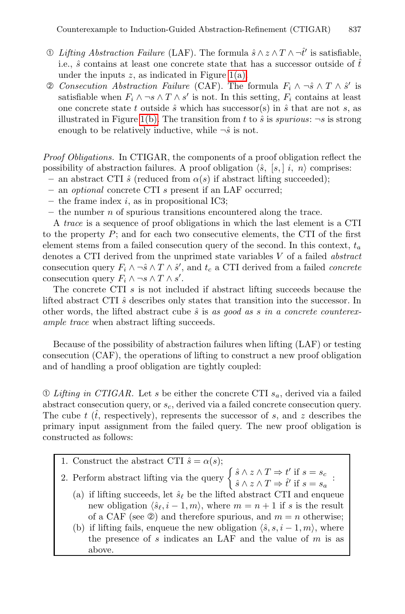- ① *Lifting Abstraction Failure* (LAF). The formula  $\hat{s} \wedge z \wedge T \wedge \neg \hat{t}'$  is satisfiable, i.e.,  $\hat{s}$  contains at least one concrete state that has a successor outside of  $\hat{t}$ under the inputs  $z$ , as indicated in Figure 1(a).
- *Consecution Abstraction Failure* (CAF). The formula  $F_i \wedge \neg \hat{s} \wedge T \wedge \hat{s}'$  is satisfiable when  $F_i \wedge \neg s \wedge T \wedge s'$  is not. In this setting,  $F_i$  contains at least one concrete state t outside  $\hat{s}$  which has successor(s) in  $\hat{s}$  that are not s, as illustrated in Figure 1(b). The transition from t to  $\hat{s}$  is *spurious*:  $\neg s$  is strong enough to be relatively inductive, while  $\neg \hat{s}$  is not.

*Proof Obligations.* In CTIGAR, the components of a proof obligation reflect the possibility of abstraction failures. A proof obligation  $\langle \hat{s}, [s], i, n \rangle$  comprises:

- $-$  an abstract CTI  $\hat{s}$  (reduced from  $\alpha(s)$ ) if abstract lifting succeeded);
- **–** an *optional* concrete CTI s present if an LAF occurred;
- **–** the frame index i, as in propositional IC3;
- **–** the number n of spurious transitions encountered along the trace.

A *trace* is a sequence of proof obligations in which the last element is a CTI to the property  $P$ ; and for each two consecutive elements, the CTI of the first element stems from a failed consecution query of the second. In this context,  $t_a$ denotes a CTI derived from the unprimed state variables V of a failed *abstract* consecution query  $F_i \wedge \neg \hat{s} \wedge T \wedge \hat{s}'$ , and  $t_c$  a CTI derived from a failed *concrete* consecution query  $F_i \wedge \neg s \wedge T \wedge s'$ .

The concrete CTI s is not included if abstract lifting succeeds because the lifted abstract CTI  $\hat{s}$  describes only states that transition into the successor. In other words, the lifted abstract cube  $\hat{s}$  is as good as s in a concrete counterex*ample trace* when abstract lifting succeeds.

Because of the possibility of abstraction failures when lifting (LAF) or testing consecution (CAF), the operations of lifting to construct a new proof obligation and of handling a proof obligation are tightly coupled:

 $\mathcal D$  *Lifting in CTIGAR*. Let s be either the concrete CTI  $s_a$ , derived via a failed abstract consecution query, or  $s_c$ , derived via a failed concrete consecution query. The cube  $t$  ( $\hat{t}$ , respectively), represents the successor of s, and z describes the primary input assignment from the failed query. The new proof obligation is constructed as follows:

1. Construct the abstract CTI  $\hat{s} = \alpha(s);$ 

- 2. Perform abstract lifting via the query  $\begin{cases} \hat{s} \wedge z \wedge T \Rightarrow t' \text{ if } s = s_c \end{cases}$  $\hat{s} \wedge z \wedge T \Rightarrow \hat{t}'$  if  $s = s_a$ :
	- (a) if lifting succeeds, let  $\hat{s}_{\ell}$  be the lifted abstract CTI and enqueue new obligation  $\langle \hat{s}_{\ell}, i-1, m \rangle$ , where  $m = n + 1$  if s is the result of a CAF (see  $\circledcirc$ ) and therefore spurious, and  $m = n$  otherwise;
	- (b) if lifting fails, enqueue the new obligation  $\langle \hat{s}, s, i 1, m \rangle$ , where the presence of s indicates an LAF and the value of  $m$  is as above.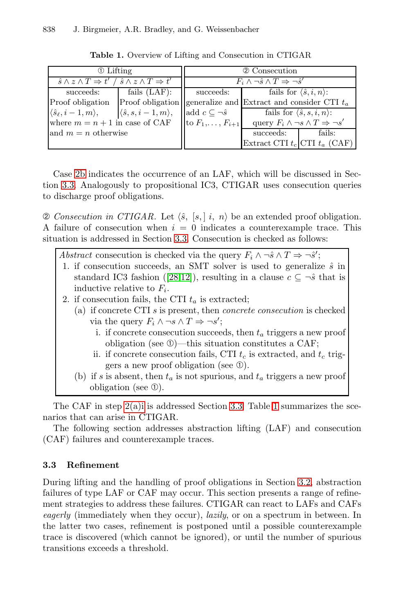| 1 Lifting                                                                             |                                                                | 2 Consecution                  |                                                              |                                                |
|---------------------------------------------------------------------------------------|----------------------------------------------------------------|--------------------------------|--------------------------------------------------------------|------------------------------------------------|
| $\hat{s} \wedge z \wedge T \Rightarrow t' / \hat{s} \wedge z \wedge T \Rightarrow t'$ |                                                                |                                | $F_i \wedge \neg \hat{s} \wedge T \Rightarrow \neg \hat{s}'$ |                                                |
| succeeds:                                                                             | fails $(LAF)$ :                                                | succeeds:                      | fails for $\langle \hat{s}, i, n \rangle$ :                  |                                                |
| Proof obligation                                                                      | Proof obligation generalize and Extract and consider CTI $t_a$ |                                |                                                              |                                                |
| $\langle \hat{s}_{\ell}, i-1, m \rangle,$                                             | $\langle \hat{s}, s, i-1, m \rangle,$                          | add $c \subseteq \neg \hat{s}$ |                                                              | fails for $\langle \hat{s}, s, i, n \rangle$ : |
| where $m = n + 1$ in case of CAF $\left  \text{to } F_1, \ldots, F_{i+1} \right $     |                                                                |                                | query $F_i \wedge \neg s \wedge T \Rightarrow \neg s'$       |                                                |
| and $m = n$ otherwise                                                                 |                                                                |                                | succeeds:                                                    | fails:                                         |
|                                                                                       |                                                                |                                | Extract CTI $t_c$ CTI $t_a$ (CAF)                            |                                                |

<span id="page-7-1"></span>**Table 1.** Overview of Lifting and Consecution in CTIGAR

Case 2b indicates the occurrence of an LAF, which will be discussed in Section 3.3. Analogously to propositional IC3, CTIGAR uses consecution queries to discharge [pro](#page-16-3)[of](#page-15-5) [o](#page-15-5)bligations.

 $\oslash$  *Consecution in CTIGAR.* Let  $\langle \hat{s}, [s], [i, n \rangle \rangle$  be an extended proof obligation. A failure of consecution when  $i = 0$  indicates a counterexample trace. This situation is addressed in Section 3.3. Consecution is checked as follows:

<span id="page-7-0"></span>

| Abstract consecution is checked via the query $F_i \wedge \neg \hat{s} \wedge T \Rightarrow \neg \hat{s}'$ ; |
|--------------------------------------------------------------------------------------------------------------|
| 1. if consecution succeeds, an SMT solver is used to generalize $\hat{s}$ in                                 |
| standard IC3 fashion ([28,12]), resulting in a clause $c \subseteq \neg \hat{s}$ that is                     |
| inductive relative to $F_i$ .                                                                                |
| 2. if consecution fails, the CTI $t_a$ is extracted;                                                         |
| (a) if concrete CTI $s$ is present, then <i>concrete consecution</i> is checked                              |
| via the query $F_i \wedge \neg s \wedge T \Rightarrow \neg s'$ ;                                             |
| i. if concrete consecution succeeds, then $t_a$ triggers a new proof                                         |
| obligation (see $\mathbb{O}$ )—this situation constitutes a CAF;                                             |
| ii. if concrete consecution fails, CTI $t_c$ is extracted, and $t_c$ trig-                                   |
| gers a new proof obligation (see $\mathcal{D}$ ).                                                            |
| (b) if s is absent, then $t_a$ is not spurious, and $t_a$ triggers a new proof                               |
| obligation (see $\mathcal{D}$ ).                                                                             |

The CAF in step 2(a)i is addressed Section 3.3. Table 1 summarizes the scenarios that can arise in CTIGAR.

The following section addresses abstraction lifting (LAF) and consecution (CAF) failures and counterexample traces.

### **3.3 Refinement**

During lifting and the handling of proof obligations in Section 3.2, abstraction failures of type LAF or CAF may occur. This section presents a range of refinement strategies to address these failures. CTIGAR can react to LAFs and CAFs *eagerly* (immediately when they occur), *lazily*, or on a spectrum in between. In the latter two cases, refinement is postponed until a possible counterexample trace is discovered (which cannot be ignored), or until the number of spurious transitions exceeds a threshold.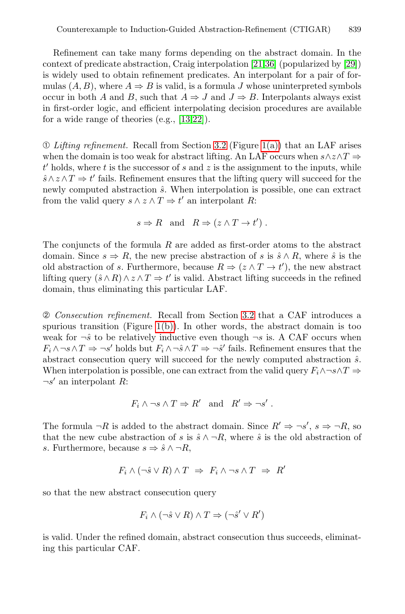Refinement can take many forms depending on the abstract domain. In the context of predicate abst[ract](#page-5-0)ion, Cra[ig int](#page-5-2)erpolation [21,36] (popularized by [29]) is widely used to obtain refinement predicates. An interpolant for a pair of formulas  $(A, B)$ , where  $A \Rightarrow B$  is valid, is a formula J whose uninterpreted symbols occur in both A and B, such that  $A \Rightarrow J$  and  $J \Rightarrow B$ . Interpolants always exist in first-order logic, and efficient interpolating decision procedures are available for a wide range of theories (e.g., [13,22]).

➀ *Lifting refinement.* Recall from Section 3.2 (Figure 1(a)) that an LAF arises when the domain is too weak for abstract lifting. An LAF occurs when  $s \wedge z \wedge T \Rightarrow$  $t'$  holds, where  $t$  is the successor of  $s$  and  $z$  is the assignment to the inputs, while  $\hat{s} \wedge z \wedge T \Rightarrow t'$  fails. Refinement ensures that the lifting query will succeed for the newly computed abstraction  $\hat{s}$ . When interpolation is possible, one can extract from the valid query  $s \wedge z \wedge T \Rightarrow t'$  an interpolant R:

$$
s \Rightarrow R
$$
 and  $R \Rightarrow (z \land T \to t')$ .

The conju[ncts](#page-5-1) of the formula  $R$  are added as first-order atoms to the abstract domain. Since  $s \Rightarrow R$ , the new precise abstraction of s is  $\hat{s} \wedge R$ , where  $\hat{s}$  is the old abstraction of s. Furthermore, because  $R \Rightarrow (z \wedge T \rightarrow t')$ , the new abstract lifting query  $(\hat{s} \wedge R) \wedge z \wedge T \Rightarrow t'$  is valid. Abstract lifting succeeds in the refined domain, thus eliminating this particular LAF.

➁ *Consecution refinement.* Recall from Section 3.2 that a CAF introduces a spurious transition (Figure 1(b)). In other words, the abstract domain is too weak for  $\neg \hat{s}$  to be relatively inductive even though  $\neg s$  is. A CAF occurs when  $F_i \wedge \neg s \wedge T \Rightarrow \neg s'$  holds but  $F_i \wedge \neg \hat{s} \wedge T \Rightarrow \neg \hat{s}'$  fails. Refinement ensures that the abstract consecution query will succeed for the newly computed abstraction  $\hat{s}$ . When interpolation is possible, one can extract from the valid query  $F_i \wedge \neg s \wedge T \Rightarrow$  $\neg s'$  an interpolant R:

$$
F_i \wedge \neg s \wedge T \Rightarrow R'
$$
 and  $R' \Rightarrow \neg s'.$ 

The formula  $\neg R$  is added to the abstract domain. Since  $R' \Rightarrow \neg s', s \Rightarrow \neg R$ , so that the new cube abstraction of s is  $\hat{s} \wedge \neg R$ , where  $\hat{s}$  is the old abstraction of s. Furthermore, because  $s \Rightarrow \hat{s} \land \neg R$ ,

$$
F_i \wedge (\neg \hat{s} \vee R) \wedge T \Rightarrow F_i \wedge \neg s \wedge T \Rightarrow R'
$$

so that the new abstract consecution query

$$
F_i \wedge (\neg \hat{s} \vee R) \wedge T \Rightarrow (\neg \hat{s}' \vee R')
$$

is valid. Under the refined domain, abstract consecution thus succeeds, eliminating this particular CAF.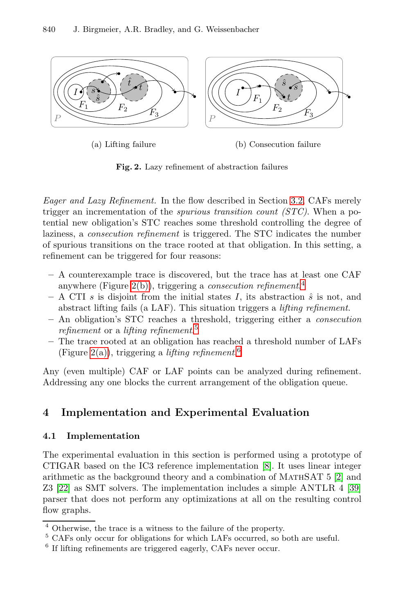<span id="page-9-1"></span>

**Fig. 2.** Lazy refinement of abstraction failures

*Eag[er an](#page-9-1)d Lazy Refinement.* In the flow descr[ib](#page-9-2)ed in Section 3.2, CAFs merely trigger an incrementation of the *spurious transition count (STC)*. When a potential new obligation's STC reaches some threshold controlling the degree of laziness, a *consecution refinement* is triggered. The STC indicates the number of spurious transiti[on](#page-9-3)s on the trace rooted at that obligation. In this setting, a refinement can be triggered for four reasons:

- <span id="page-9-0"></span>**–** A counterexample trace i[s](#page-9-4) [d](#page-9-4)iscovered, but the trace has at least one CAF anywhere (Figure 2(b)), triggering a *consecution refinement*. 4
- **A** CTI s is disjoint from the initial states I, its abstraction  $\hat{s}$  is not, and abstract lifting fails (a LAF). This situation triggers a *lifting refinement*.
- **–** An obligation's STC reaches a threshold, triggering either a *consecution refinement* or a *lifting refinement*. 5
- **–** The trace rooted at an obligation has reached a threshold number of LAFs (Figure 2(a)), triggering a *lifting refinement*. 6

<span id="page-9-3"></span><span id="page-9-2"></span>Any (even multiple) CAF or LAF points can be analyzed during refinement. Addressing any one blocks the curre[nt](#page-15-7) arrangement of the obligation queue.

# <span id="page-9-4"></span>**4 Implementation and Experimental Eval[ua](#page-17-1)tion**

#### **4.1 Implementation**

The experimental evaluation in this section is performed using a prototype of CTIGAR based on the IC3 reference implementation [8]. It uses linear integer arithmetic as the background theory and a combination of MathSAT 5 [2] and Z3 [22] as SMT solvers. The implementation includes a simple ANTLR 4 [39] parser that does not perform any optimizations at all on the resulting control flow graphs.

 $\overline{4}$  Otherwise, the trace is a witness to the failure of the property.

<sup>5</sup> CAFs only occur for obligations for which LAFs occurred, so both are useful.

 $^6$  If lifting refinements are triggered eagerly, CAFs never occur.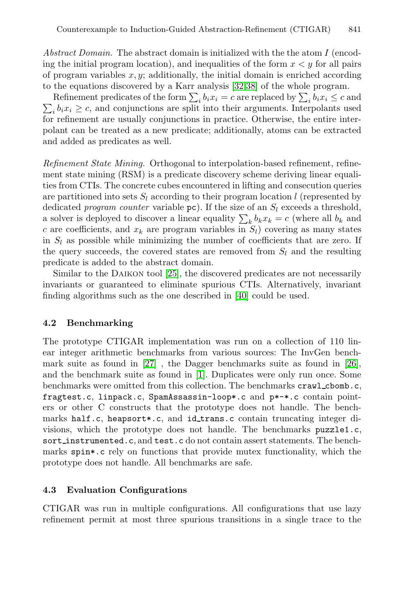<span id="page-10-0"></span>*Abstract Domain.* The abstract domain is initialized with the the atom I (encoding the initial program location), and inequalities of the form  $x < y$  for all pairs of program variables  $x, y$ ; additionally, the initial domain is enriched according to the equations discovered by a Karr analysis [32,38] of the whole program.

Refinement predicates of the form  $\sum_i b_i x_i = c$  are replaced by  $\sum_i b_i x_i \leq c$  and  $\sum_i b_i x_i \geq c$ , and conjunctions are split into their arguments. Interpolants used for refinement are usually conjunctions in practice. Otherwise, the entire interpolant can be treated as a new predicate; additionally, atoms can be extracted and added as predicates as well.

*Refinement State Mining.* Orthogonal to interpolation-based refinement, refinement state mining (RSM) is a predicate discovery scheme deriving linear equalities from CT[Is. T](#page-16-5)he concrete cubes encountered in lifting and consecution queries are partitioned into sets  $S_l$  according to their program location l (represented by dedicated *program counter* va[riab](#page-17-2)le  $pc$ ). If the size of an  $S_l$  exceeds a threshold, a solver is deployed to discover a linear equality  $\sum_k b_k x_k = c$  (where all  $b_k$  and c are coefficients, and  $x_k$  are program variables in  $S_l$ ) covering as many states in  $S_l$  as possible while minimizing the number of coefficients that are zero. If the query succeeds, the covered states are removed from  $S_l$  and the resulting predicate is added to the abstract domain.

Simi[lar](#page-16-6) to the DAIKON tool [25], the discovered predica[tes](#page-16-7) are not necessarily invariants or guara[nte](#page-15-8)ed to eliminate spurious CTIs. Alternatively, invariant finding algorithms such as the one described in [40] could be used.

### **4.2 Benchmarking**

The prototype CTIGAR implementation was run on a collection of 110 linear integer arithmetic benchmarks from various sources: The InvGen benchmark suite as found in [27] , the Dagger benchmarks suite as found in [26], and the benchmark suite as found in [1]. Duplicates were only run once. Some benchmarks were omitted from this collection. The benchmarks crawl cbomb.c, fragtest.c, linpack.c, SpamAssassin-loop\*.c and p\*-\*.c contain pointers or other C constructs that the prototype does not handle. The benchmarks half.c, heapsort\*.c, and id trans.c contain truncating integer divisions, which the prototype does not handle. The benchmarks puzzle1.c, sort\_instrumented.c, and test.c do not contain assert statements. The benchmarks spin\*.c rely on functions that provide mutex functionality, which the prototype does not handle. All benchmarks are safe.

### **4.3 Evaluation Configurations**

CTIGAR was run in multiple configurations. All configurations that use lazy refinement permit at most three spurious transitions in a single trace to the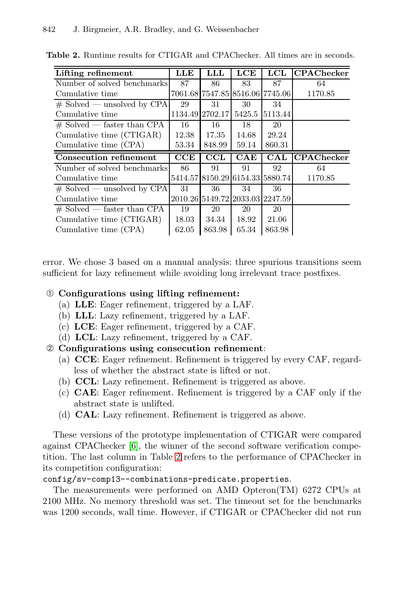| Lifting refinement                               | LLE   | LLL                             | LCE    | LCL            | C <b>PAC</b> hecker |
|--------------------------------------------------|-------|---------------------------------|--------|----------------|---------------------|
| Number of solved benchmarks                      | 87    | 86                              | 83     | 87             | 64                  |
| Cumulative time                                  |       | 7061.68 7547.85 8516.06 7745.06 |        |                | 1170.85             |
| $\#$ Solved — unsolved by CPA                    | 29    | 31                              | 30     | 34             |                     |
| Cumulative time                                  |       | 1134.49 2702.17                 | 5425.5 | 5113.44        |                     |
| $#$ Solved — faster than CPA                     | 16    | 16                              | 18     | 20             |                     |
| Cumulative time (CTIGAR)                         | 12.38 | 17.35                           | 14.68  | 29.24          |                     |
| Cumulative time (CPA)                            | 53.34 | 848.99                          | 59.14  | 860.31         |                     |
|                                                  |       |                                 |        |                |                     |
| <b>Consecution refinement</b>                    | CCE   | $\overline{\text{CCL}}$         | CAE    | $\mathbf{CAL}$ | <b>CPAChecker</b>   |
| Number of solved benchmarks                      | 86    | 91                              | 91     | 92             | 64                  |
| Cumulative time                                  |       | 5414.57 8150.29 6154.33 5880.74 |        |                | 1170.85             |
|                                                  | 31    | 36                              | 34     | 36             |                     |
| $\#$ Solved — unsolved by CPA<br>Cumulative time |       | 2010.26 5149.72 2033.03 2247.59 |        |                |                     |
| $\#$ Solved — faster than CPA                    | 19    | 20                              | 20     | 20             |                     |
| Cumulative time (CTIGAR)                         | 18.03 | 34.34                           | 18.92  | 21.06          |                     |

<span id="page-11-0"></span>**Table 2.** Runtime results for CTIGAR and CPAChecker. All times are in seconds.

error. We chose 3 based on a manual analysis: three spurious transitions seem sufficient for lazy refinement while avoiding long irrelevant trace postfixes.

# ➀ **Configurations using lifting refinement:**

- (a) **LLE**: Eager refinement, triggered by a LAF.
- (b) **LLL**: Lazy refinement, triggered by a LAF.
- (c) **LCE**: Eager refinement, triggered by a CAF.
- (d) **LCL**: Lazy refinement, triggered by a CAF.
- ➁ **Configurations using consecution refinement**:
	- [\(a](#page-15-9)) **CCE**: Eager refinement. Refinement is triggered by every CAF, regardless of [wh](#page-11-0)ether the abstract state is lifted or not.
	- (b) **CCL**: Lazy refinement. Refinement is triggered as above.
	- (c) **CAE**: Eager refinement. Refinement is triggered by a CAF only if the abstract state is unlifted.
	- (d) **CAL**: Lazy refinement. Refinement is triggered as above.

These versions of the prototype implementation of CTIGAR were compared against CPAChecker [6], the winner of the second software verification competition. The last column in Table 2 refers to the performance of CPAChecker in its competition configuration:

config/sv-comp13--combinations-predicate.properties.

The measurements were performed on AMD Opteron(TM) 6272 CPUs at 2100 MHz. No memory threshold was set. The timeout set for the benchmarks was 1200 seconds, wall time. However, if CTIGAR or CPAChecker did not run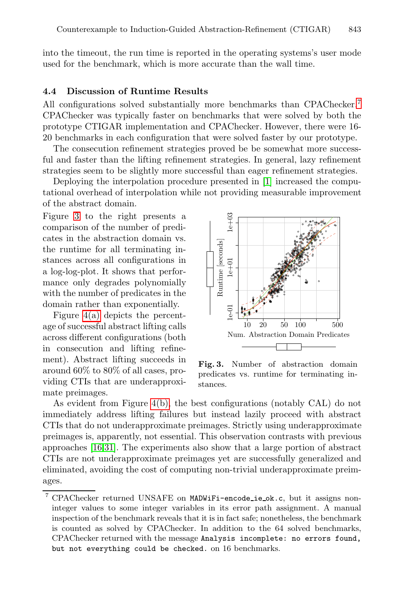into the timeout, the run time is reported in the operating systems's user mode used for the benchmark, which is more accurate than the wall time.

### **4.4 Discussion of Runtime Res[ul](#page-15-8)ts**

All configurations solved substantially more benchmarks than CPAChecker.<sup>7</sup> CPAChecker was typically faster on benchmarks that were solved by both the prototype CTIGAR implementation and CPAChecker. However, there were 16- 20 benchmarks in each configuration that were solved faster by our prototype.

The consecution refinement strategies proved be be somewhat more successful and faster than the lifting refinement strategies. In general, lazy refinement strategies seem to be slightly more successful than eager refinement strategies.

Deploying the interpolation procedure presented in [1] increased the computational overhead of interpolation while not providing measurable improvement of the abstract domain.

Figure 3 to the right presents a comparison of the number of predicates in the abstraction domain vs. the runtime for all terminating instances across all configurations in a log-log-plot. It shows that performance only degrades polynomially with the number of predicates in the domain rather than exponentially.

Figure [4\(a\)](#page-13-0) depicts the percentage of successful abstract lifting calls across different configurations (both in consecution and lifting refinement). Abstract lifting succeeds in around 60% to 80% of all cases, providing CTIs that are underapproximate preimages.



**Fig. 3.** Number of abstraction domain predicates vs. runtime for terminating instances.

As evident from Figure 4(b), the best configurations (notably CAL) do not immediately address lifting failures but instead lazily proceed with abstract CTIs that do not underapproximate preimages. Strictly using underapproximate preimages is, apparently, not essential. This observation contrasts with previous approaches [16,31]. The experiments also show that a large portion of abstract CTIs are not underapproximate preimages yet are successfully generalized and eliminated, avoiding the cost of computing non-trivial underapproximate preimages.

<sup>7</sup> CPAChecker returned UNSAFE on MADWiFi-encode ie ok.c, but it assigns noninteger values to some integer variables in its error path assignment. A manual inspection of the benchmark reveals that it is in fact safe; nonetheless, the benchmark is counted as solved by CPAChecker. In addition to the 64 solved benchmarks, CPAChecker returned with the message Analysis incomplete: no errors found, but not everything could be checked. on 16 benchmarks.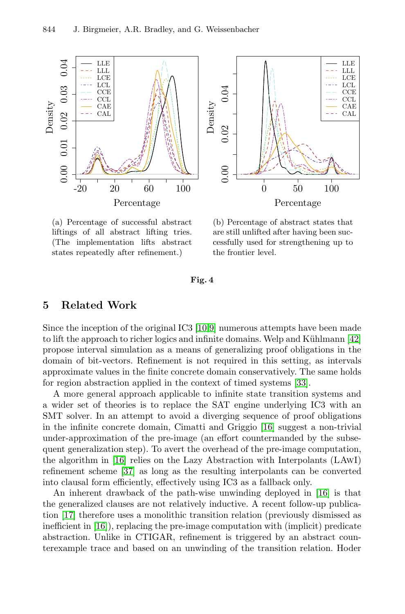

<span id="page-13-0"></span>

(a) Percentage of successful abstract liftings of all abstract lifting tries. (The implementati[on](#page-15-3) [l](#page-15-10)ifts abstract states repeatedly after refinement.)

(b) Percentage of abstract states that are still unlifted after having been successfully used for strengthening up to the frontier level.

**Fig. 4**

# **5 Related Work**

Since the inception of the original IC3 [10,9] numerous attempts have been made to lift the approach to richer logics an[d in](#page-15-0)finite domains. Welp and Kühlmann  $[42]$ propose interval simulation as a means of generalizing proof obligations in the domain of bit-vectors. Refinement is not required in this setting, as intervals [app](#page-15-0)roximate values in the finite concrete domain conservatively. The same holds fo[r re](#page-17-3)gion abstraction applied in the context of timed systems [33].

A more general approach applicable to infinite state transition systems and a wider set of theories is to replace the SAT en[gine](#page-15-0) underlying IC3 with an SMT solver. In an attempt to avoid a diverging sequence of proof obligations in the infinite concrete domain, Cimatti and Griggio [16] suggest a non-trivial under-approximation of the pre-image (an effort countermanded by the subsequent generalization step). To avert the overhead of the pre-image computation, the algorithm in [16] relies on the Lazy Abstraction with Interpolants (LAwI) refinement scheme [37] as long as the resulting interpolants can be converted into clausal form efficiently, effectively using IC3 as a fallback only.

An inherent drawback of the path-wise unwinding deployed in [16] is that the generalized clauses are not relatively inductive. A recent follow-up publication [17] therefore uses a monolithic transition relation (previously dismissed as inefficient in [16]), replacing the pre-image computation with (implicit) predicate abstraction. Unlike in CTIGAR, refinement is triggered by an abstract counterexample trace and based on an unwinding of the transition relation. Hoder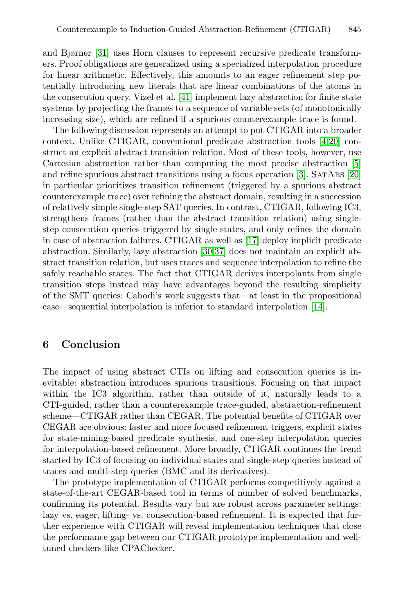and Bjørner [31] uses Horn clauses to represent re[cu](#page-15-11)[rsiv](#page-16-8)e predicate transformers. Proof obligations are generalized using a specialized interpolation procedure for linear arithmetic. Effectively, this amounts to an eager [re](#page-15-12)finement step potentially introducing new literals that are li[nea](#page-15-13)r combina[tion](#page-16-8)s of the atoms in the consecution query. Vizel et al. [41] implement lazy abstraction for finite state systems by projecting the frames to a sequence of variable sets (of monotonically increasing size), which are refined if a spurious counterexample trace is found.

The following discussion represents an attempt to put CTIGAR into a broader context. Unlike CTIGAR, conventional predicate abstraction tools [4,20] construct an explicit abstract transi[tion](#page-15-1) relation. Most of these tools, however, use Cartesian abstractio[n ra](#page-16-9)[the](#page-17-3)r than computing the most precise abstraction [5] and refine spurious abstract transitions using a focus operation [3]. SatAbs [20] in particular prioritizes transition refinement (triggered by a spurious abstract counterexample trace) over refining the abstract domain, resulting in a succession of relatively simple single-step SAT queries. In contrast, CTIGAR, following IC3, strengthens frames (rather than the abstract tr[ansi](#page-15-14)tion relation) using singlestep consecution queries triggered by single states, and only refines the domain in case of abstraction failures. CTIGAR as well as [17] deploy implicit predicate abstraction. Similarly, lazy abstraction [30,37] does not maintain an explicit abstract transition relation, but uses traces and sequence interpolation to refine the safely reachable states. The fact that CTIGAR derives interpolants from single transition steps instead may have advantages beyond the resulting simplicity of the SMT queries: Cabodi's work suggests that—at least in the propositional case—sequential interpolation is inferior to standard interpolation [14].

# **6 Conclusion**

The impact of using abstract CTIs on lifting and consecution queries is inevitable: abstraction introduces spurious transitions. Focusing on that impact within the IC3 algorithm, rather than outside of it, naturally leads to a CTI-guided, rather than a counterexample trace-guided, abstraction-refinement scheme—CTIGAR rather than CEGAR. The potential benefits of CTIGAR over CEGAR are obvious: faster and more focused refinement triggers, explicit states for state-mining-based predicate synthesis, and one-step interpolation queries for interpolation-based refinement. More broadly, CTIGAR continues the trend started by IC3 of focusing on individual states and single-step queries instead of traces and multi-step queries (BMC and its derivatives).

The prototype implementation of CTIGAR performs competitively against a state-of-the-art CEGAR-based tool in terms of number of solved benchmarks, confirming its potential. Results vary but are robust across parameter settings: lazy vs. eager, lifting- vs. consecution-based refinement. It is expected that further experience with CTIGAR will reveal implementation techniques that close the performance gap between our CTIGAR prototype implementation and welltuned checkers like CPAChecker.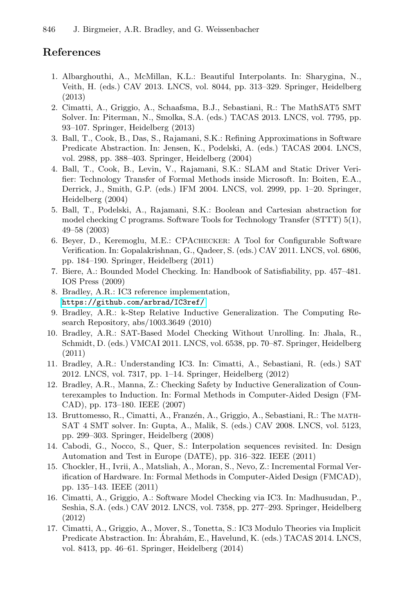# <span id="page-15-13"></span><span id="page-15-12"></span><span id="page-15-11"></span><span id="page-15-8"></span>**References**

- <span id="page-15-9"></span>1. Albarghouthi, A., McMillan, K.L.: Beautiful Interpolants. In: Sharygina, N., Veith, H. (eds.) CAV 2013. LNCS, vol. 8044, pp. 313–329. Springer, Heidelberg (2013)
- <span id="page-15-7"></span>2. Cimatti, A., Griggio, A., Schaafsma, B.J., Sebastiani, R.: The MathSAT5 SMT Solver. In: Piterman, N., Smolka, S.A. (eds.) TACAS 2013. LNCS, vol. 7795, pp. 93–107. Springer, Heidelberg (2013)
- <span id="page-15-10"></span>3. Ball, T., Cook, B., Das, S., Rajamani, S.K.: Refining Approximations in Software Predicate Abstraction. In: Jensen, K., Podelski, A. (eds.) TACAS 2004. LNCS, vol. 2988, pp. 388–403. Springer, Heidelberg (2004)
- <span id="page-15-3"></span>4. Ball, T., Cook, B., Levin, V., Rajamani, S.K.: SLAM and Static Driver Verifier: Technology Transfer of Formal Methods inside Microsoft. In: Boiten, E.A., Derrick, J., Smith, G.P. (eds.) IFM 2004. LNCS, vol. 2999, pp. 1–20. Springer, Heidelberg (2004)
- <span id="page-15-5"></span><span id="page-15-4"></span>5. Ball, T., Podelski, A., Rajamani, S.K.: Boolean and Cartesian abstraction for [model checking C pr](https://github.com/arbrad/IC3ref/)ograms. Software Tools for Technology Transfer (STTT) 5(1), 49–58 (2003)
- <span id="page-15-6"></span>6. Beyer, D., Keremoglu, M.E.: CPAchecker: A Tool for Configurable Software Verification. In: Gopalakrishnan, G., Qadeer, S. (eds.) CAV 2011. LNCS, vol. 6806, pp. 184–190. Springer, Heidelberg (2011)
- <span id="page-15-14"></span>7. Biere, A.: Bounded Model Checking. In: Handbook of Satisfiability, pp. 457–481. IOS Press (2009)
- <span id="page-15-2"></span>8. Bradley, A.R.: IC3 reference implementation, https://github.com/arbrad/IC3ref/
- 9. Bradley, A.R.: k-Step Relative Inductive Generalization. The Computing Research Repository, abs/1003.3649 (2010)
- <span id="page-15-0"></span>10. Bradley, A.R.: SAT-Based Model Checking Without Unrolling. In: Jhala, R., Schmidt, D. (eds.) VMCAI 2011. LNCS, vol. 6538, pp. 70–87. Springer, Heidelberg (2011)
- <span id="page-15-1"></span>11. Bradley, A.R.: Understanding IC3. In: Cimatti, A., Sebastiani, R. (eds.) SAT 2012. LNCS, vol. 7317, pp. 1–14. Springer, Heidelberg (2012)
- 12. Bradley, A.R., Manna, Z.: Checking Safety by Inductive Generalization of Counterexamples to Induction. In: Formal Methods in Computer-Aided Design (FM-CAD), pp. 173–180. IEEE (2007)
- 13. Bruttomesso, R., Cimatti, A., Franzén, A., Griggio, A., Sebastiani, R.: The MATH-SAT 4 SMT solver. In: Gupta, A., Malik, S. (eds.) CAV 2008. LNCS, vol. 5123, pp. 299–303. Springer, Heidelberg (2008)
- 14. Cabodi, G., Nocco, S., Quer, S.: Interpolation sequences revisited. In: Design Automation and Test in Europe (DATE), pp. 316–322. IEEE (2011)
- 15. Chockler, H., Ivrii, A., Matsliah, A., Moran, S., Nevo, Z.: Incremental Formal Verification of Hardware. In: Formal Methods in Computer-Aided Design (FMCAD), pp. 135–143. IEEE (2011)
- 16. Cimatti, A., Griggio, A.: Software Model Checking via IC3. In: Madhusudan, P., Seshia, S.A. (eds.) CAV 2012. LNCS, vol. 7358, pp. 277–293. Springer, Heidelberg (2012)
- 17. Cimatti, A., Griggio, A., Mover, S., Tonetta, S.: IC3 Modulo Theories via Implicit Predicate Abstraction. In: Ábrahám, E., Havelund, K. (eds.) TACAS 2014. LNCS, vol. 8413, pp. 46–61. Springer, Heidelberg (2014)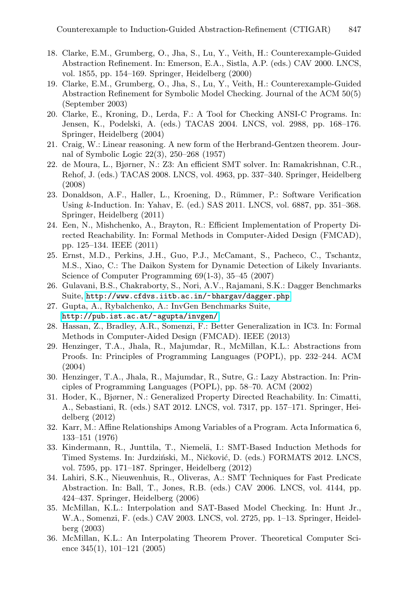- <span id="page-16-8"></span><span id="page-16-4"></span><span id="page-16-0"></span>18. Clarke, E.M., Grumberg, O., Jha, S., Lu, Y., Veith, H.: Counterexample-Guided Abstraction Refinement. In: Emerson, E.A., Sistla, A.P. (eds.) CAV 2000. LNCS, vol. 1855, pp. 154–169. Springer, Heidelberg (2000)
- <span id="page-16-5"></span>19. Clarke, E.M., Grumberg, O., Jha, S., Lu, Y., Veith, H.: Counterexample-Guided Abstraction Refinement for Symbolic Model Checking. Journal of the ACM 50(5) (September 2003)
- <span id="page-16-7"></span>20. Clarke, E., Kroning, D., Lerda, F.: A Tool for Checking ANSI-C Programs. In: Jensen, K., Podelski, A. (eds.) TACAS 2004. LNCS, vol. 2988, pp. 168–176. Springer, Heidelberg (2004)
- <span id="page-16-6"></span>21. Craig, W.: Linear reasoning. A new form of the Herbrand-Gentzen theorem. Journal of Symbolic Logic 22(3), 250–268 (1957)
- <span id="page-16-3"></span>22. de Moura, L., Bjørner, N.: Z3: An efficient SMT solver. In: Ramakrishnan, C.R., Rehof, J. (eds.) TACAS 2008. LNCS, vol. 4963, pp. 337–340. Springer, Heidelberg (2008)
- <span id="page-16-9"></span>23. Donaldson, A.F., Haller, L., Kroening, D., Rümmer, P.: Software Verification Using *k*-Induction. In: Yahav, E. (ed.) SAS 2011. LNCS, vol. 6887, pp. 351–368. [Springer, Heidelberg \(2011\)](http://www.cfdvs.iitb.ac.in/~bhargav/dagger.php)
- <span id="page-16-1"></span>24. Een, N., Mishchenko, A., Brayton, R.: Efficient Implementation of Property Di[rected Reachability. In:](http://pub.ist.ac.at/~agupta/invgen/) Formal Methods in Computer-Aided Design (FMCAD), pp. 125–134. IEEE (2011)
- 25. Ernst, M.D., Perkins, J.H., Guo, P.J., McCamant, S., Pacheco, C., Tschantz, M.S., Xiao, C.: The Daikon System for Dynamic Detection of Likely Invariants. Science of Computer Programming 69(1-3), 35–45 (2007)
- 26. Gulavani, B.S., Chakraborty, S., Nori, A.V., Rajamani, S.K.: Dagger Benchmarks Suite, http://www.cfdvs.iitb.ac.in/~bhargav/dagger.php
- <span id="page-16-2"></span>27. Gupta, A., Rybalchenko, A.: InvGen Benchmarks Suite, http://pub.ist.ac.at/~agupta/invgen/
- 28. Hassan, Z., Bradley, A.R., Somenzi, F.: Better Generalization in IC3. In: Formal Methods in Computer-Aided Design (FMCAD). IEEE (2013)
- 29. Henzinger, T.A., Jhala, R., Majumdar, R., McMillan, K.L.: Abstractions from Proofs. In: Principles of Programming Languages (POPL), pp. 232–244. ACM (2004)
- 30. Henzinger, T.A., Jhala, R., Majumdar, R., Sutre, G.: Lazy Abstraction. In: Principles of Programming Languages (POPL), pp. 58–70. ACM (2002)
- 31. Hoder, K., Bjørner, N.: Generalized Property Directed Reachability. In: Cimatti, A., Sebastiani, R. (eds.) SAT 2012. LNCS, vol. 7317, pp. 157–171. Springer, Heidelberg (2012)
- 32. Karr, M.: Affine Relationships Among Variables of a Program. Acta Informatica 6, 133–151 (1976)
- 33. Kindermann, R., Junttila, T., Niemelä, I.: SMT-Based Induction Methods for Timed Systems. In: Jurdziński, M., Ničković, D. (eds.) FORMATS 2012. LNCS, vol. 7595, pp. 171–187. Springer, Heidelberg (2012)
- 34. Lahiri, S.K., Nieuwenhuis, R., Oliveras, A.: SMT Techniques for Fast Predicate Abstraction. In: Ball, T., Jones, R.B. (eds.) CAV 2006. LNCS, vol. 4144, pp. 424–437. Springer, Heidelberg (2006)
- 35. McMillan, K.L.: Interpolation and SAT-Based Model Checking. In: Hunt Jr., W.A., Somenzi, F. (eds.) CAV 2003. LNCS, vol. 2725, pp. 1–13. Springer, Heidelberg (2003)
- 36. McMillan, K.L.: An Interpolating Theorem Prover. Theoretical Computer Science 345(1), 101–121 (2005)